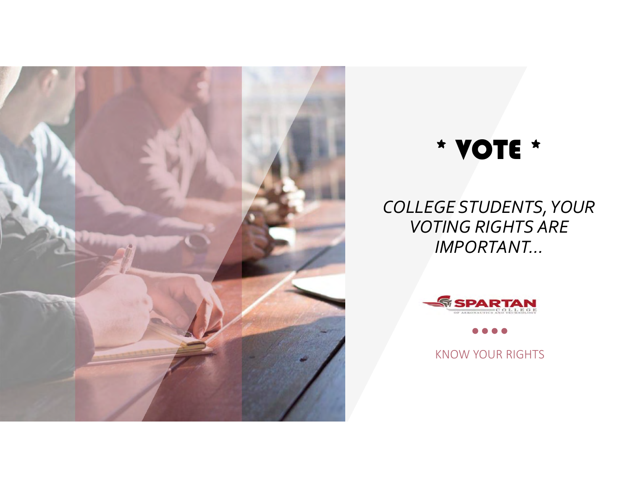

# \* VOTE \*

## *COLLEGE STUDENTS,YOUR VOTING RIGHTS ARE IMPORTANT…*



KNOW YOUR RIGHTS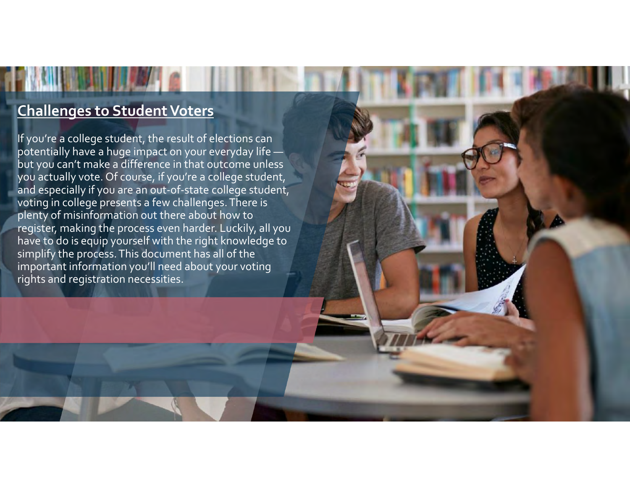### **Challenges to Student Voters**

If you're <sup>a</sup> college student, the result of elections can potentially have <sup>a</sup> huge impact on your everyday life but you can't make <sup>a</sup> difference in that outcome unless you actually vote. Of course, if you're <sup>a</sup> college student, and especially if you are an out‐of‐state college student, voting in college presents <sup>a</sup> few challenges.There is plenty of misinformation out there about how to register, making the process even harder. Luckily, all you have to do is equip yourself with the right knowledge to simplify the process. This document has all of the important information you'll need about your voting rights and registration necessities.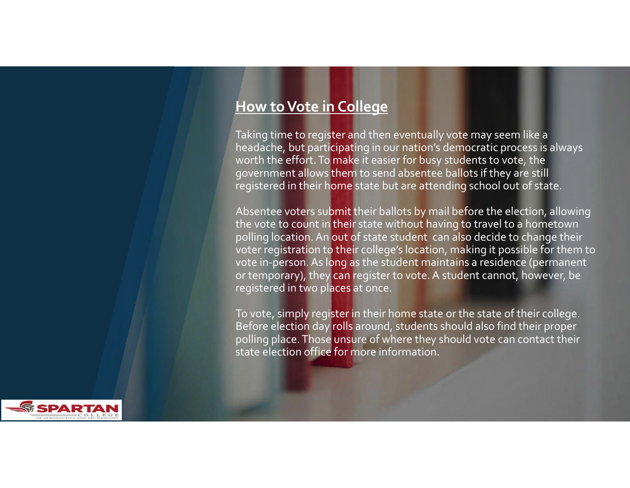#### **How toVote in College**

Taking time to register and then eventually vote may seem like <sup>a</sup> headache, but participating in our nation's democratic process is always worth the effort. To make it easier for busy students to vote, the governmen<sup>t</sup> allows them to send absentee ballots if they are still registered in their home state but are attending school out of state.

Absentee voters submit their ballots by mail before the election, allowing the vote to count in their state without having to travel to a hometown polling location.An out of state student can also decide to change their voter registration to their college's location, making it possible for them to vote in-person. As long as the student maintains a residence (permanent or temporary), they can register to vote. A student cannot, however, be registered in two places at once.

To vote, simply register in their home state or the state of their college. Before election day rolls around, students should also find their proper polling place. Those unsure of where they should vote can contact their state election office for more information.

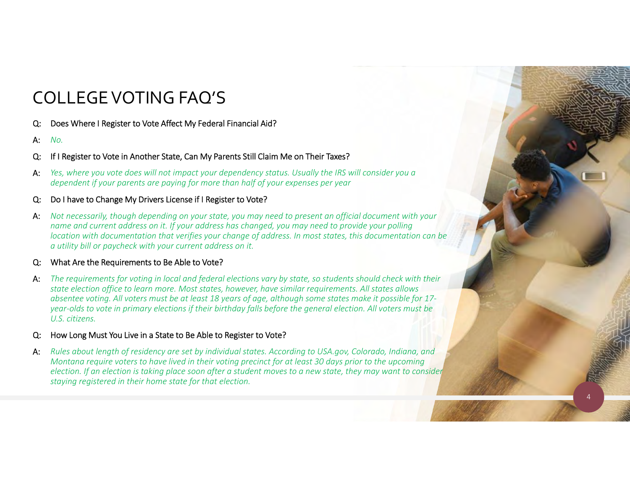## COLLEGEVOTING FAQ'S

- Q: Does Where I Register to Vote Affect My Federal Financial Aid?
- A:*No.*
- Q: If I Register to Vote in Another State, Can My Parents Still Claim Me on Their Taxes?
- A: *Yes, where you vote does will not impact your dependency status. Usually the IRS will consider you a dependent if your parents are paying for more than half of your expenses per year*
- Q: Do I have to Change My Drivers License if I Register to Vote?
- A: *Not necessarily, though depending on your state, you may need to present an official document with your name and current address on it. If your address has changed, you may need to provide your polling location with documentation that verifies your change of address. In most states, this documentation can be a utility bill or paycheck with your current address on it.*

#### Q: What Are the Requirements to Be Able to Vote?

- A: *The requirements for voting in local and federal elections vary by state, so students should check with their state election office to learn more. Most states, however, have similar requirements. All states allows absentee voting. All voters must be at least 18 years of age, although some states make it possible for 17‐ year‐olds to vote in primary elections if their birthday falls before the general election. All voters must be U.S. citizens.*
- How Long Must You Live in a State to Be Able to Register to Vote?
- A: *Rules about length of residency are set by individual states. According to USA.gov, Colorado, Indiana, and Montana require voters to have lived in their voting precinct for at least 30 days prior to the upcoming election. If an election is taking place soon after a student moves to a new state, they may want to consider staying registered in their home state for that election.*

4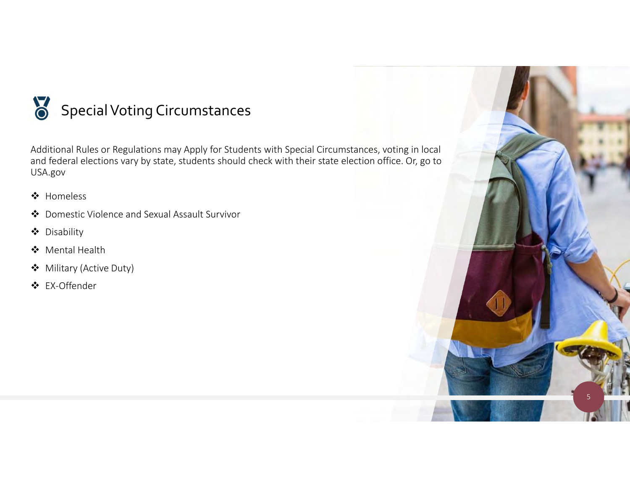

Additional Rules or Regulations may Apply for Students with Special Circumstances, voting in local and federal elections vary by state, students should check with their state election office. Or, go to USA.gov

- ❖ Homeless
- Domestic Violence and Sexual Assault Survivor
- Disability
- Mental Health
- Military (Active Duty)
- EX‐Offender

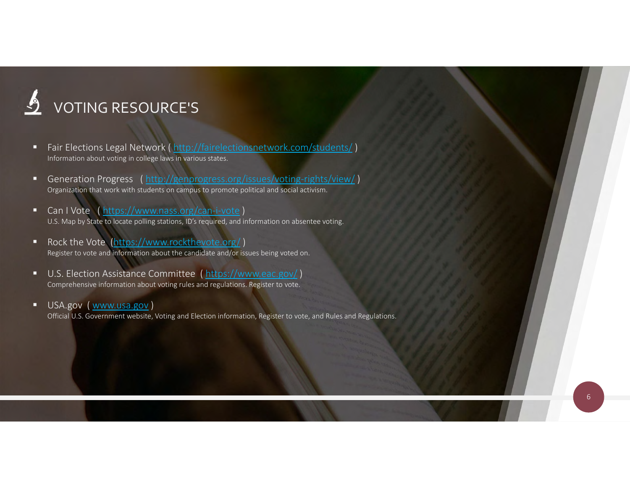# VOTING RESOURCE'S

- $\blacksquare$  Fair Elections Legal Network ( http://fairelectionsnetwork.com/students/ ) Information about voting in college laws in various states.
- п. Generation Progress ( http://genprogress.org/issues/voting-rights/view/ ) Organization that work with students on campus to promote political and social activism.
- п. Can I Vote ( https://www.nass.org/can-i-vote ) U.S. Map by State to locate polling stations, ID's required, and information on absentee voting.
- Rock the Vote (https://www.rockthevote.org/ ) Register to vote and information about the candidate and/or issues being voted on.
- п. U.S. Election Assistance Committee (https://www.eac.gov/) Comprehensive information about voting rules and regulations. Register to vote.
- USA.gov (www.usa.gov) Official U.S. Government website, Voting and Election information, Register to vote, and Rules and Regulations.